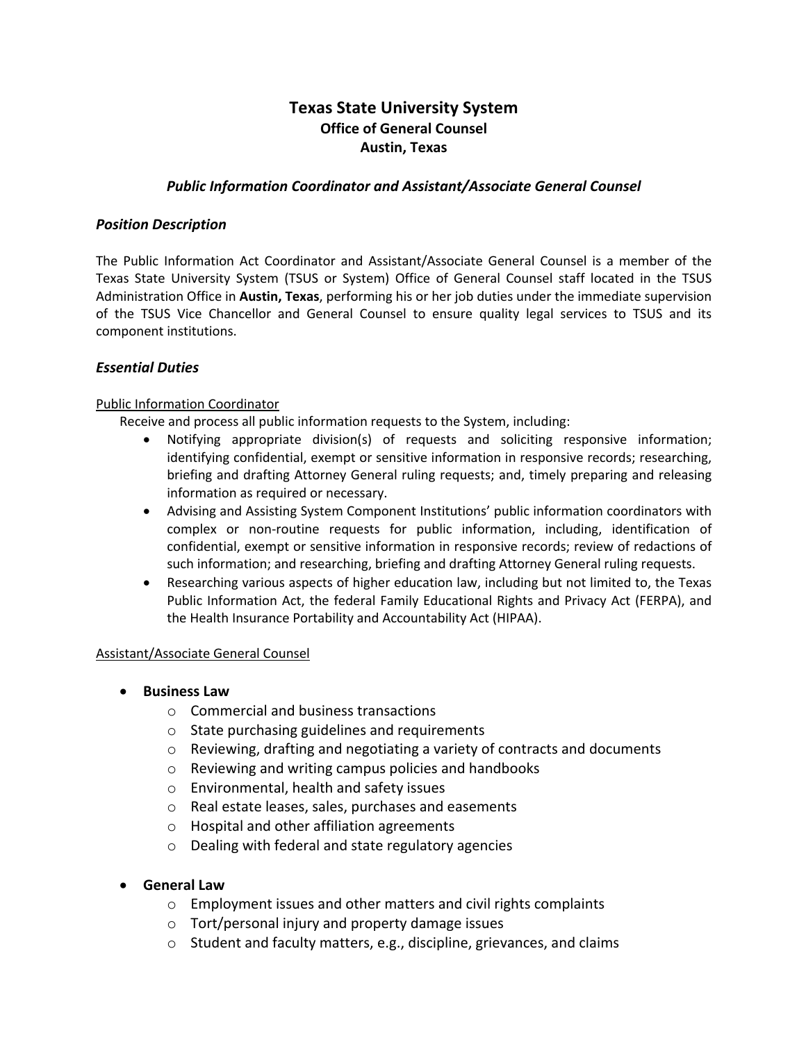# **Texas State University System Office of General Counsel Austin, Texas**

#### *Public Information Coordinator and Assistant/Associate General Counsel*

#### *Position Description*

The Public Information Act Coordinator and Assistant/Associate General Counsel is a member of the Texas State University System (TSUS or System) Office of General Counsel staff located in the TSUS Administration Office in **Austin, Texas**, performing his or her job duties under the immediate supervision of the TSUS Vice Chancellor and General Counsel to ensure quality legal services to TSUS and its component institutions.

#### *Essential Duties*

#### Public Information Coordinator

Receive and process all public information requests to the System, including:

- Notifying appropriate division(s) of requests and soliciting responsive information; identifying confidential, exempt or sensitive information in responsive records; researching, briefing and drafting Attorney General ruling requests; and, timely preparing and releasing information as required or necessary.
- Advising and Assisting System Component Institutions' public information coordinators with complex or non-routine requests for public information, including, identification of confidential, exempt or sensitive information in responsive records; review of redactions of such information; and researching, briefing and drafting Attorney General ruling requests.
- Researching various aspects of higher education law, including but not limited to, the Texas Public Information Act, the federal Family Educational Rights and Privacy Act (FERPA), and the Health Insurance Portability and Accountability Act (HIPAA).

#### Assistant/Associate General Counsel

- **Business Law** 
	- o Commercial and business transactions
	- o State purchasing guidelines and requirements
	- $\circ$  Reviewing, drafting and negotiating a variety of contracts and documents
	- o Reviewing and writing campus policies and handbooks
	- o Environmental, health and safety issues
	- o Real estate leases, sales, purchases and easements
	- o Hospital and other affiliation agreements
	- o Dealing with federal and state regulatory agencies
- **General Law**
	- o Employment issues and other matters and civil rights complaints
	- o Tort/personal injury and property damage issues
	- o Student and faculty matters, e.g., discipline, grievances, and claims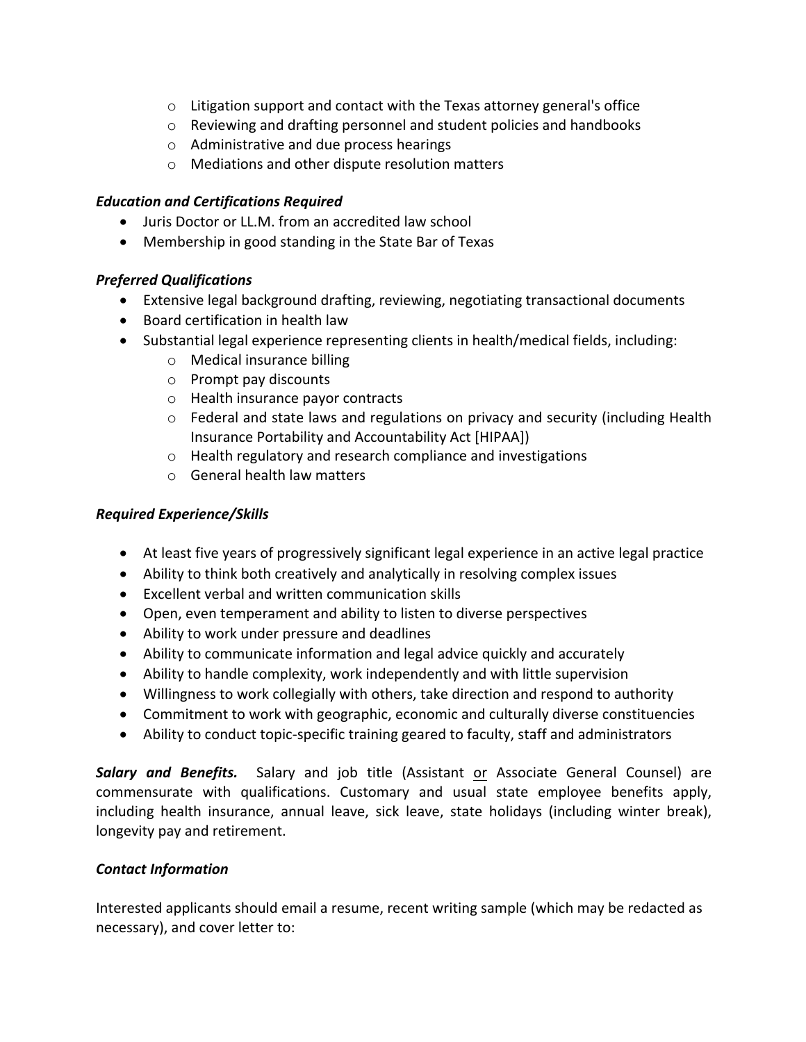- $\circ$  Litigation support and contact with the Texas attorney general's office
- $\circ$  Reviewing and drafting personnel and student policies and handbooks
- o Administrative and due process hearings
- o Mediations and other dispute resolution matters

## *Education and Certifications Required*

- Juris Doctor or LL.M. from an accredited law school
- Membership in good standing in the State Bar of Texas

# *Preferred Qualifications*

- Extensive legal background drafting, reviewing, negotiating transactional documents
- Board certification in health law
- Substantial legal experience representing clients in health/medical fields, including:
	- o Medical insurance billing
	- o Prompt pay discounts
	- o Health insurance payor contracts
	- o Federal and state laws and regulations on privacy and security (including Health Insurance Portability and Accountability Act [HIPAA])
	- o Health regulatory and research compliance and investigations
	- o General health law matters

# *Required Experience/Skills*

- At least five years of progressively significant legal experience in an active legal practice
- Ability to think both creatively and analytically in resolving complex issues
- Excellent verbal and written communication skills
- Open, even temperament and ability to listen to diverse perspectives
- Ability to work under pressure and deadlines
- Ability to communicate information and legal advice quickly and accurately
- Ability to handle complexity, work independently and with little supervision
- Willingness to work collegially with others, take direction and respond to authority
- Commitment to work with geographic, economic and culturally diverse constituencies
- Ability to conduct topic-specific training geared to faculty, staff and administrators

*Salary and Benefits.* Salary and job title (Assistant or Associate General Counsel) are commensurate with qualifications. Customary and usual state employee benefits apply, including health insurance, annual leave, sick leave, state holidays (including winter break), longevity pay and retirement.

## *Contact Information*

Interested applicants should email a resume, recent writing sample (which may be redacted as necessary), and cover letter to: